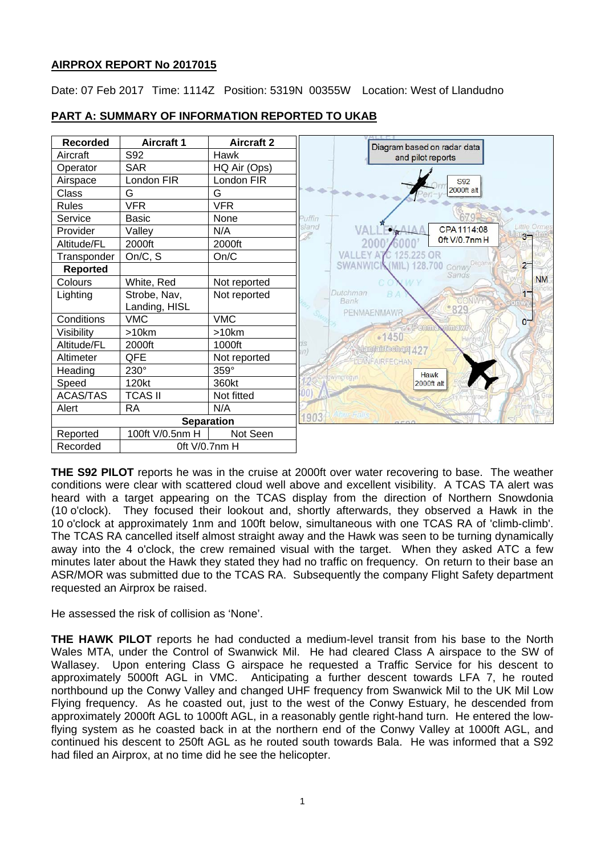# **AIRPROX REPORT No 2017015**

Date: 07 Feb 2017 Time: 1114Z Position: 5319N 00355W Location: West of Llandudno



# **PART A: SUMMARY OF INFORMATION REPORTED TO UKAB**

**THE S92 PILOT** reports he was in the cruise at 2000ft over water recovering to base. The weather conditions were clear with scattered cloud well above and excellent visibility. A TCAS TA alert was heard with a target appearing on the TCAS display from the direction of Northern Snowdonia (10 o'clock). They focused their lookout and, shortly afterwards, they observed a Hawk in the 10 o'clock at approximately 1nm and 100ft below, simultaneous with one TCAS RA of 'climb-climb'. The TCAS RA cancelled itself almost straight away and the Hawk was seen to be turning dynamically away into the 4 o'clock, the crew remained visual with the target. When they asked ATC a few minutes later about the Hawk they stated they had no traffic on frequency. On return to their base an ASR/MOR was submitted due to the TCAS RA. Subsequently the company Flight Safety department requested an Airprox be raised.

He assessed the risk of collision as 'None'.

**THE HAWK PILOT** reports he had conducted a medium-level transit from his base to the North Wales MTA, under the Control of Swanwick Mil. He had cleared Class A airspace to the SW of Wallasey. Upon entering Class G airspace he requested a Traffic Service for his descent to approximately 5000ft AGL in VMC. Anticipating a further descent towards LFA 7, he routed Anticipating a further descent towards LFA 7, he routed northbound up the Conwy Valley and changed UHF frequency from Swanwick Mil to the UK Mil Low Flying frequency. As he coasted out, just to the west of the Conwy Estuary, he descended from approximately 2000ft AGL to 1000ft AGL, in a reasonably gentle right-hand turn. He entered the lowflying system as he coasted back in at the northern end of the Conwy Valley at 1000ft AGL, and continued his descent to 250ft AGL as he routed south towards Bala. He was informed that a S92 had filed an Airprox, at no time did he see the helicopter.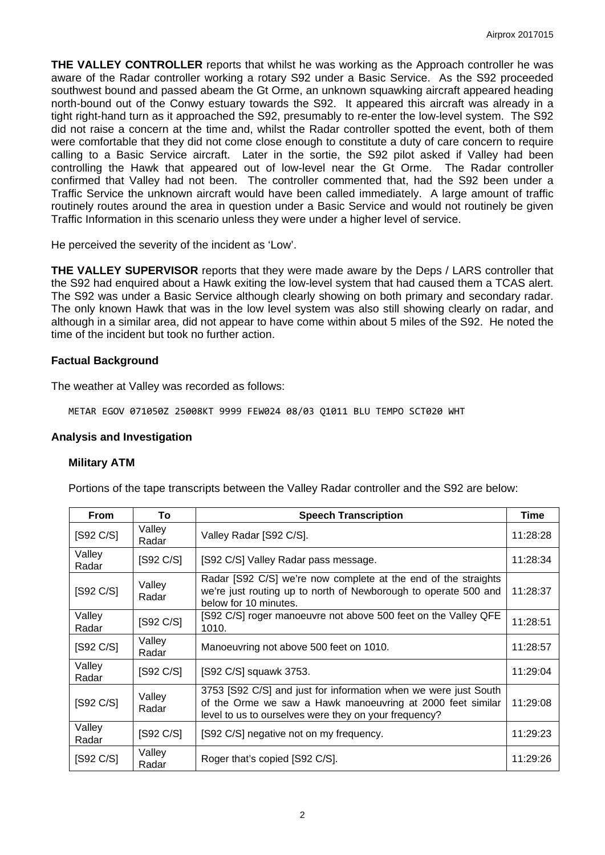**THE VALLEY CONTROLLER** reports that whilst he was working as the Approach controller he was aware of the Radar controller working a rotary S92 under a Basic Service. As the S92 proceeded southwest bound and passed abeam the Gt Orme, an unknown squawking aircraft appeared heading north-bound out of the Conwy estuary towards the S92. It appeared this aircraft was already in a tight right-hand turn as it approached the S92, presumably to re-enter the low-level system. The S92 did not raise a concern at the time and, whilst the Radar controller spotted the event, both of them were comfortable that they did not come close enough to constitute a duty of care concern to require calling to a Basic Service aircraft. Later in the sortie, the S92 pilot asked if Valley had been controlling the Hawk that appeared out of low-level near the Gt Orme. The Radar controller confirmed that Valley had not been. The controller commented that, had the S92 been under a Traffic Service the unknown aircraft would have been called immediately. A large amount of traffic routinely routes around the area in question under a Basic Service and would not routinely be given Traffic Information in this scenario unless they were under a higher level of service.

He perceived the severity of the incident as 'Low'.

**THE VALLEY SUPERVISOR** reports that they were made aware by the Deps / LARS controller that the S92 had enquired about a Hawk exiting the low-level system that had caused them a TCAS alert. The S92 was under a Basic Service although clearly showing on both primary and secondary radar. The only known Hawk that was in the low level system was also still showing clearly on radar, and although in a similar area, did not appear to have come within about 5 miles of the S92. He noted the time of the incident but took no further action.

# **Factual Background**

The weather at Valley was recorded as follows:

METAR EGOV 071050Z 25008KT 9999 FEW024 08/03 Q1011 BLU TEMPO SCT020 WHT

# **Analysis and Investigation**

# **Military ATM**

Portions of the tape transcripts between the Valley Radar controller and the S92 are below:

| <b>From</b>                         | To                                  | <b>Speech Transcription</b>                                                                                                                                                            | <b>Time</b> |
|-------------------------------------|-------------------------------------|----------------------------------------------------------------------------------------------------------------------------------------------------------------------------------------|-------------|
| [S92 C/S]                           | Valley<br>Radar                     | Valley Radar [S92 C/S].                                                                                                                                                                | 11:28:28    |
| Valley<br>Radar                     | [S92 C/S]                           | [S92 C/S] Valley Radar pass message.                                                                                                                                                   | 11:28:34    |
| [S92 C/S]                           | Valley<br>Radar                     | Radar [S92 C/S] we're now complete at the end of the straights<br>we're just routing up to north of Newborough to operate 500 and<br>below for 10 minutes.                             | 11:28:37    |
| Valley<br>Radar                     | [S92 C/S]                           | [S92 C/S] roger manoeuvre not above 500 feet on the Valley QFE<br>1010.                                                                                                                | 11:28:51    |
| [S92 C/S]                           | Valley<br>Radar                     | Manoeuvring not above 500 feet on 1010.                                                                                                                                                | 11:28:57    |
| Valley<br>Radar                     | [S92 C/S]                           | [S92 C/S] squawk 3753.                                                                                                                                                                 | 11:29:04    |
| [S92 C/S]                           | Valley<br>Radar                     | 3753 [S92 C/S] and just for information when we were just South<br>of the Orme we saw a Hawk manoeuvring at 2000 feet similar<br>level to us to ourselves were they on your frequency? | 11:29:08    |
| Valley<br>Radar                     | [ <b>S</b> 92 <b>C</b> / <b>S</b> ] | [S92 C/S] negative not on my frequency.                                                                                                                                                | 11:29:23    |
| [ <b>S</b> 92 <b>C</b> / <b>S</b> ] | Valley<br>Radar                     | Roger that's copied [S92 C/S].                                                                                                                                                         | 11:29:26    |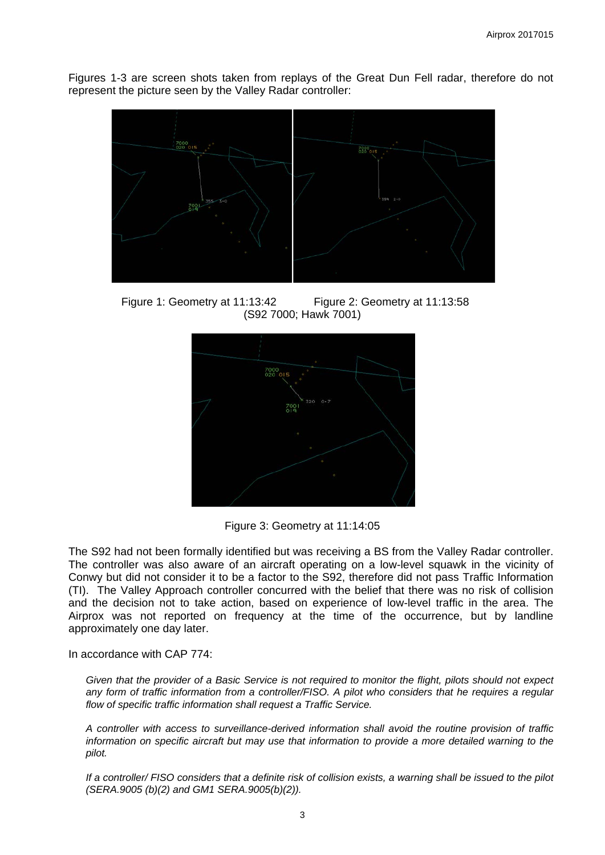Figures 1-3 are screen shots taken from replays of the Great Dun Fell radar, therefore do not represent the picture seen by the Valley Radar controller:



 Figure 1: Geometry at 11:13:42 Figure 2: Geometry at 11:13:58 (S92 7000; Hawk 7001)



Figure 3: Geometry at 11:14:05

The S92 had not been formally identified but was receiving a BS from the Valley Radar controller. The controller was also aware of an aircraft operating on a low-level squawk in the vicinity of Conwy but did not consider it to be a factor to the S92, therefore did not pass Traffic Information (TI). The Valley Approach controller concurred with the belief that there was no risk of collision and the decision not to take action, based on experience of low-level traffic in the area. The Airprox was not reported on frequency at the time of the occurrence, but by landline approximately one day later.

In accordance with CAP 774:

*Given that the provider of a Basic Service is not required to monitor the flight, pilots should not expect any form of traffic information from a controller/FISO. A pilot who considers that he requires a regular flow of specific traffic information shall request a Traffic Service.*

*A controller with access to surveillance-derived information shall avoid the routine provision of traffic information on specific aircraft but may use that information to provide a more detailed warning to the pilot.*

*If a controller/ FISO considers that a definite risk of collision exists, a warning shall be issued to the pilot (SERA.9005 (b)(2) and GM1 SERA.9005(b)(2)).*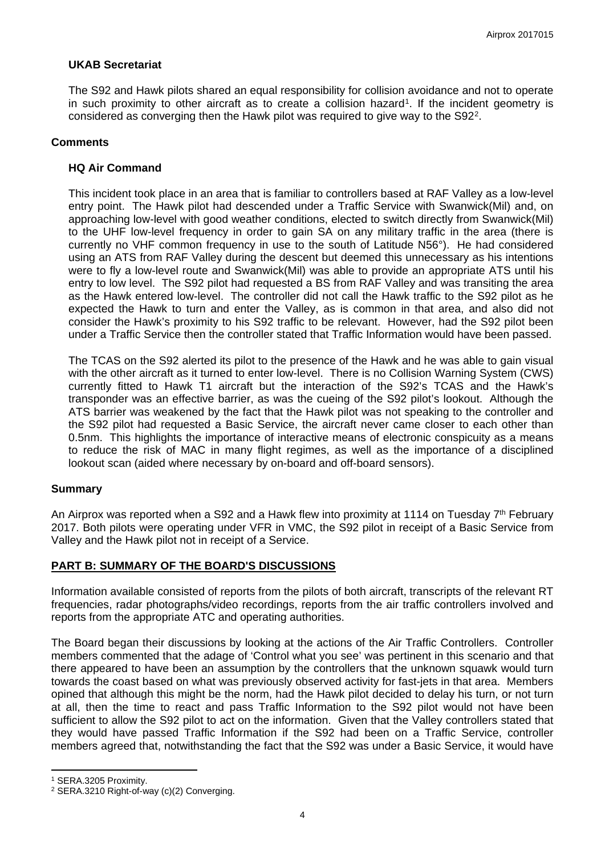# **UKAB Secretariat**

The S92 and Hawk pilots shared an equal responsibility for collision avoidance and not to operate in such proximity to other aircraft as to create a collision hazard<sup>1</sup>. If the incident geometry is considered as converging then the Hawk pilot was required to give way to the S92[2](#page-3-1).

#### **Comments**

# **HQ Air Command**

This incident took place in an area that is familiar to controllers based at RAF Valley as a low-level entry point. The Hawk pilot had descended under a Traffic Service with Swanwick(Mil) and, on approaching low-level with good weather conditions, elected to switch directly from Swanwick(Mil) to the UHF low-level frequency in order to gain SA on any military traffic in the area (there is currently no VHF common frequency in use to the south of Latitude N56°). He had considered using an ATS from RAF Valley during the descent but deemed this unnecessary as his intentions were to fly a low-level route and Swanwick(Mil) was able to provide an appropriate ATS until his entry to low level. The S92 pilot had requested a BS from RAF Valley and was transiting the area as the Hawk entered low-level. The controller did not call the Hawk traffic to the S92 pilot as he expected the Hawk to turn and enter the Valley, as is common in that area, and also did not consider the Hawk's proximity to his S92 traffic to be relevant. However, had the S92 pilot been under a Traffic Service then the controller stated that Traffic Information would have been passed.

The TCAS on the S92 alerted its pilot to the presence of the Hawk and he was able to gain visual with the other aircraft as it turned to enter low-level. There is no Collision Warning System (CWS) currently fitted to Hawk T1 aircraft but the interaction of the S92's TCAS and the Hawk's transponder was an effective barrier, as was the cueing of the S92 pilot's lookout. Although the ATS barrier was weakened by the fact that the Hawk pilot was not speaking to the controller and the S92 pilot had requested a Basic Service, the aircraft never came closer to each other than 0.5nm. This highlights the importance of interactive means of electronic conspicuity as a means to reduce the risk of MAC in many flight regimes, as well as the importance of a disciplined lookout scan (aided where necessary by on-board and off-board sensors).

# **Summary**

An Airprox was reported when a S92 and a Hawk flew into proximity at 1114 on Tuesday  $7<sup>th</sup>$  February 2017. Both pilots were operating under VFR in VMC, the S92 pilot in receipt of a Basic Service from Valley and the Hawk pilot not in receipt of a Service.

# **PART B: SUMMARY OF THE BOARD'S DISCUSSIONS**

Information available consisted of reports from the pilots of both aircraft, transcripts of the relevant RT frequencies, radar photographs/video recordings, reports from the air traffic controllers involved and reports from the appropriate ATC and operating authorities.

The Board began their discussions by looking at the actions of the Air Traffic Controllers. Controller members commented that the adage of 'Control what you see' was pertinent in this scenario and that there appeared to have been an assumption by the controllers that the unknown squawk would turn towards the coast based on what was previously observed activity for fast-jets in that area. Members opined that although this might be the norm, had the Hawk pilot decided to delay his turn, or not turn at all, then the time to react and pass Traffic Information to the S92 pilot would not have been sufficient to allow the S92 pilot to act on the information. Given that the Valley controllers stated that they would have passed Traffic Information if the S92 had been on a Traffic Service, controller members agreed that, notwithstanding the fact that the S92 was under a Basic Service, it would have

 $\overline{a}$ 

<span id="page-3-0"></span><sup>1</sup> SERA.3205 Proximity.

<span id="page-3-1"></span><sup>2</sup> SERA.3210 Right-of-way (c)(2) Converging.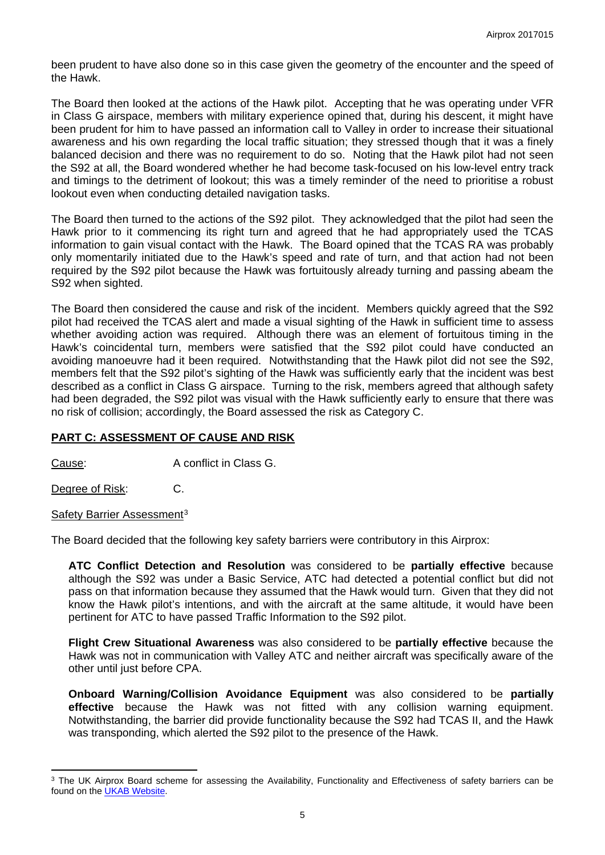been prudent to have also done so in this case given the geometry of the encounter and the speed of the Hawk.

The Board then looked at the actions of the Hawk pilot. Accepting that he was operating under VFR in Class G airspace, members with military experience opined that, during his descent, it might have been prudent for him to have passed an information call to Valley in order to increase their situational awareness and his own regarding the local traffic situation; they stressed though that it was a finely balanced decision and there was no requirement to do so. Noting that the Hawk pilot had not seen the S92 at all, the Board wondered whether he had become task-focused on his low-level entry track and timings to the detriment of lookout; this was a timely reminder of the need to prioritise a robust lookout even when conducting detailed navigation tasks.

The Board then turned to the actions of the S92 pilot. They acknowledged that the pilot had seen the Hawk prior to it commencing its right turn and agreed that he had appropriately used the TCAS information to gain visual contact with the Hawk. The Board opined that the TCAS RA was probably only momentarily initiated due to the Hawk's speed and rate of turn, and that action had not been required by the S92 pilot because the Hawk was fortuitously already turning and passing abeam the S92 when sighted.

The Board then considered the cause and risk of the incident. Members quickly agreed that the S92 pilot had received the TCAS alert and made a visual sighting of the Hawk in sufficient time to assess whether avoiding action was required. Although there was an element of fortuitous timing in the Hawk's coincidental turn, members were satisfied that the S92 pilot could have conducted an avoiding manoeuvre had it been required. Notwithstanding that the Hawk pilot did not see the S92, members felt that the S92 pilot's sighting of the Hawk was sufficiently early that the incident was best described as a conflict in Class G airspace. Turning to the risk, members agreed that although safety had been degraded, the S92 pilot was visual with the Hawk sufficiently early to ensure that there was no risk of collision; accordingly, the Board assessed the risk as Category C.

# **PART C: ASSESSMENT OF CAUSE AND RISK**

Cause: A conflict in Class G.

Degree of Risk: C.

 $\overline{a}$ 

Safety Barrier Assessment<sup>[3](#page-4-0)</sup>

The Board decided that the following key safety barriers were contributory in this Airprox:

**ATC Conflict Detection and Resolution** was considered to be **partially effective** because although the S92 was under a Basic Service, ATC had detected a potential conflict but did not pass on that information because they assumed that the Hawk would turn. Given that they did not know the Hawk pilot's intentions, and with the aircraft at the same altitude, it would have been pertinent for ATC to have passed Traffic Information to the S92 pilot.

**Flight Crew Situational Awareness** was also considered to be **partially effective** because the Hawk was not in communication with Valley ATC and neither aircraft was specifically aware of the other until just before CPA.

**Onboard Warning/Collision Avoidance Equipment** was also considered to be **partially effective** because the Hawk was not fitted with any collision warning equipment. Notwithstanding, the barrier did provide functionality because the S92 had TCAS II, and the Hawk was transponding, which alerted the S92 pilot to the presence of the Hawk.

<span id="page-4-0"></span><sup>&</sup>lt;sup>3</sup> The UK Airprox Board scheme for assessing the Availability, Functionality and Effectiveness of safety barriers can be found on the **UKAB Website**.